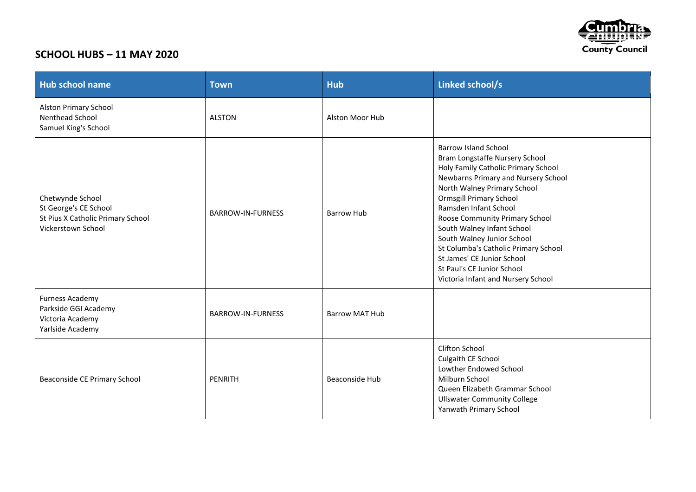

## **SCHOOL HUBS – 11 MAY 2020**

| <b>Hub school name</b>                                                                               | <b>Town</b>              | <b>Hub</b>            | Linked school/s                                                                                                                                                                                                                                                                                                                                                                                                                                                               |
|------------------------------------------------------------------------------------------------------|--------------------------|-----------------------|-------------------------------------------------------------------------------------------------------------------------------------------------------------------------------------------------------------------------------------------------------------------------------------------------------------------------------------------------------------------------------------------------------------------------------------------------------------------------------|
| <b>Alston Primary School</b><br>Nenthead School<br>Samuel King's School                              | <b>ALSTON</b>            | Alston Moor Hub       |                                                                                                                                                                                                                                                                                                                                                                                                                                                                               |
| Chetwynde School<br>St George's CE School<br>St Pius X Catholic Primary School<br>Vickerstown School | <b>BARROW-IN-FURNESS</b> | <b>Barrow Hub</b>     | <b>Barrow Island School</b><br>Bram Longstaffe Nursery School<br>Holy Family Catholic Primary School<br>Newbarns Primary and Nursery School<br>North Walney Primary School<br><b>Ormsgill Primary School</b><br>Ramsden Infant School<br>Roose Community Primary School<br>South Walney Infant School<br>South Walney Junior School<br>St Columba's Catholic Primary School<br>St James' CE Junior School<br>St Paul's CE Junior School<br>Victoria Infant and Nursery School |
| <b>Furness Academy</b><br>Parkside GGI Academy<br>Victoria Academy<br>Yarlside Academy               | <b>BARROW-IN-FURNESS</b> | <b>Barrow MAT Hub</b> |                                                                                                                                                                                                                                                                                                                                                                                                                                                                               |
| Beaconside CE Primary School                                                                         | PENRITH                  | <b>Beaconside Hub</b> | <b>Clifton School</b><br>Culgaith CE School<br>Lowther Endowed School<br>Milburn School<br>Queen Elizabeth Grammar School<br><b>Ullswater Community College</b><br>Yanwath Primary School                                                                                                                                                                                                                                                                                     |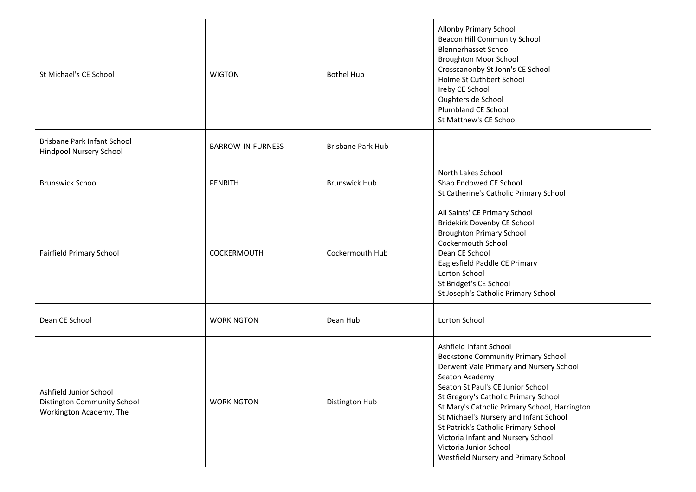| St Michael's CE School                                                           | <b>WIGTON</b>            | <b>Bothel Hub</b>        | <b>Allonby Primary School</b><br>Beacon Hill Community School<br><b>Blennerhasset School</b><br><b>Broughton Moor School</b><br>Crosscanonby St John's CE School<br>Holme St Cuthbert School<br>Ireby CE School<br>Oughterside School<br>Plumbland CE School<br>St Matthew's CE School                                                                                                                                                                   |
|----------------------------------------------------------------------------------|--------------------------|--------------------------|----------------------------------------------------------------------------------------------------------------------------------------------------------------------------------------------------------------------------------------------------------------------------------------------------------------------------------------------------------------------------------------------------------------------------------------------------------|
| Brisbane Park Infant School<br>Hindpool Nursery School                           | <b>BARROW-IN-FURNESS</b> | <b>Brisbane Park Hub</b> |                                                                                                                                                                                                                                                                                                                                                                                                                                                          |
| <b>Brunswick School</b>                                                          | <b>PENRITH</b>           | <b>Brunswick Hub</b>     | North Lakes School<br>Shap Endowed CE School<br>St Catherine's Catholic Primary School                                                                                                                                                                                                                                                                                                                                                                   |
| Fairfield Primary School                                                         | <b>COCKERMOUTH</b>       | Cockermouth Hub          | All Saints' CE Primary School<br>Bridekirk Dovenby CE School<br><b>Broughton Primary School</b><br>Cockermouth School<br>Dean CE School<br>Eaglesfield Paddle CE Primary<br>Lorton School<br>St Bridget's CE School<br>St Joseph's Catholic Primary School                                                                                                                                                                                               |
| Dean CE School                                                                   | <b>WORKINGTON</b>        | Dean Hub                 | Lorton School                                                                                                                                                                                                                                                                                                                                                                                                                                            |
| Ashfield Junior School<br>Distington Community School<br>Workington Academy, The | <b>WORKINGTON</b>        | Distington Hub           | Ashfield Infant School<br><b>Beckstone Community Primary School</b><br>Derwent Vale Primary and Nursery School<br>Seaton Academy<br>Seaton St Paul's CE Junior School<br>St Gregory's Catholic Primary School<br>St Mary's Catholic Primary School, Harrington<br>St Michael's Nursery and Infant School<br>St Patrick's Catholic Primary School<br>Victoria Infant and Nursery School<br>Victoria Junior School<br>Westfield Nursery and Primary School |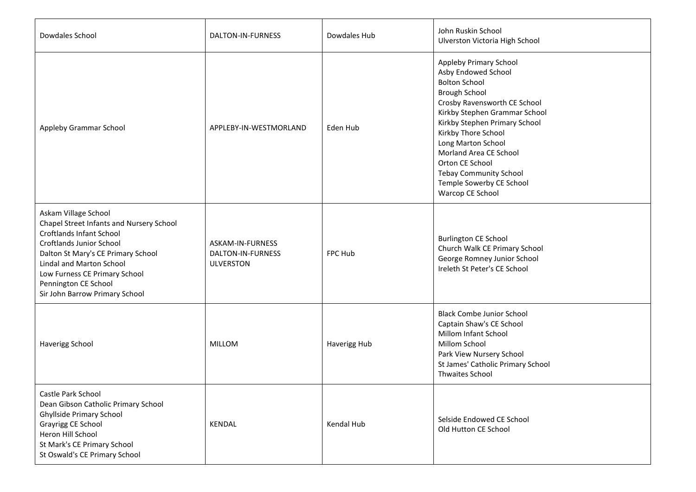| Dowdales School                                                                                                                                                                                                                                                                              | DALTON-IN-FURNESS                                         | Dowdales Hub | John Ruskin School<br>Ulverston Victoria High School                                                                                                                                                                                                                                                                                                                       |
|----------------------------------------------------------------------------------------------------------------------------------------------------------------------------------------------------------------------------------------------------------------------------------------------|-----------------------------------------------------------|--------------|----------------------------------------------------------------------------------------------------------------------------------------------------------------------------------------------------------------------------------------------------------------------------------------------------------------------------------------------------------------------------|
| Appleby Grammar School                                                                                                                                                                                                                                                                       | APPLEBY-IN-WESTMORLAND                                    | Eden Hub     | Appleby Primary School<br>Asby Endowed School<br><b>Bolton School</b><br><b>Brough School</b><br>Crosby Ravensworth CE School<br>Kirkby Stephen Grammar School<br>Kirkby Stephen Primary School<br>Kirkby Thore School<br>Long Marton School<br>Morland Area CE School<br>Orton CE School<br><b>Tebay Community School</b><br>Temple Sowerby CE School<br>Warcop CE School |
| Askam Village School<br>Chapel Street Infants and Nursery School<br><b>Croftlands Infant School</b><br>Croftlands Junior School<br>Dalton St Mary's CE Primary School<br>Lindal and Marton School<br>Low Furness CE Primary School<br>Pennington CE School<br>Sir John Barrow Primary School | ASKAM-IN-FURNESS<br>DALTON-IN-FURNESS<br><b>ULVERSTON</b> | FPC Hub      | <b>Burlington CE School</b><br>Church Walk CE Primary School<br>George Romney Junior School<br>Ireleth St Peter's CE School                                                                                                                                                                                                                                                |
| Haverigg School                                                                                                                                                                                                                                                                              | <b>MILLOM</b>                                             | Haverigg Hub | <b>Black Combe Junior School</b><br>Captain Shaw's CE School<br>Millom Infant School<br>Millom School<br>Park View Nursery School<br>St James' Catholic Primary School<br><b>Thwaites School</b>                                                                                                                                                                           |
| Castle Park School<br>Dean Gibson Catholic Primary School<br>Ghyllside Primary School<br>Grayrigg CE School<br>Heron Hill School<br>St Mark's CE Primary School<br>St Oswald's CE Primary School                                                                                             | KENDAL                                                    | Kendal Hub   | Selside Endowed CE School<br>Old Hutton CE School                                                                                                                                                                                                                                                                                                                          |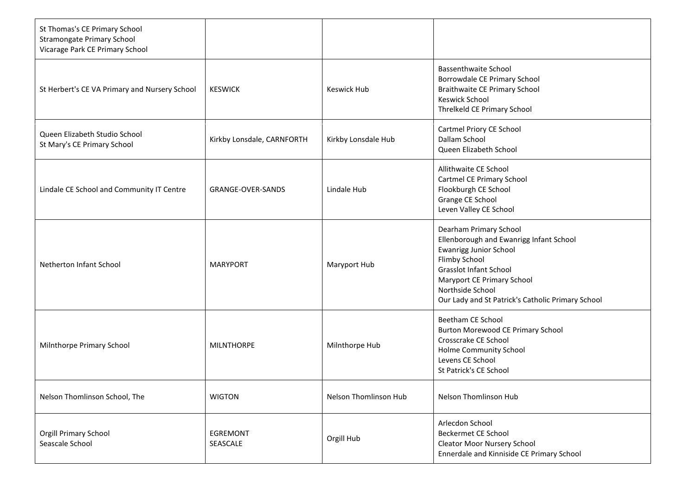| St Thomas's CE Primary School<br><b>Stramongate Primary School</b><br>Vicarage Park CE Primary School |                            |                       |                                                                                                                                                                                                                                                             |
|-------------------------------------------------------------------------------------------------------|----------------------------|-----------------------|-------------------------------------------------------------------------------------------------------------------------------------------------------------------------------------------------------------------------------------------------------------|
| St Herbert's CE VA Primary and Nursery School                                                         | <b>KESWICK</b>             | <b>Keswick Hub</b>    | <b>Bassenthwaite School</b><br>Borrowdale CE Primary School<br><b>Braithwaite CE Primary School</b><br>Keswick School<br>Threlkeld CE Primary School                                                                                                        |
| Queen Elizabeth Studio School<br>St Mary's CE Primary School                                          | Kirkby Lonsdale, CARNFORTH | Kirkby Lonsdale Hub   | Cartmel Priory CE School<br>Dallam School<br>Queen Elizabeth School                                                                                                                                                                                         |
| Lindale CE School and Community IT Centre                                                             | <b>GRANGE-OVER-SANDS</b>   | Lindale Hub           | Allithwaite CE School<br>Cartmel CE Primary School<br>Flookburgh CE School<br>Grange CE School<br>Leven Valley CE School                                                                                                                                    |
| Netherton Infant School                                                                               | <b>MARYPORT</b>            | Maryport Hub          | Dearham Primary School<br>Ellenborough and Ewanrigg Infant School<br><b>Ewanrigg Junior School</b><br>Flimby School<br><b>Grasslot Infant School</b><br>Maryport CE Primary School<br>Northside School<br>Our Lady and St Patrick's Catholic Primary School |
| Milnthorpe Primary School                                                                             | <b>MILNTHORPE</b>          | Milnthorpe Hub        | Beetham CE School<br><b>Burton Morewood CE Primary School</b><br>Crosscrake CE School<br>Holme Community School<br>Levens CE School<br>St Patrick's CE School                                                                                               |
| Nelson Thomlinson School, The                                                                         | <b>WIGTON</b>              | Nelson Thomlinson Hub | Nelson Thomlinson Hub                                                                                                                                                                                                                                       |
| Orgill Primary School<br>Seascale School                                                              | EGREMONT<br>SEASCALE       | Orgill Hub            | Arlecdon School<br><b>Beckermet CE School</b><br><b>Cleator Moor Nursery School</b><br>Ennerdale and Kinniside CE Primary School                                                                                                                            |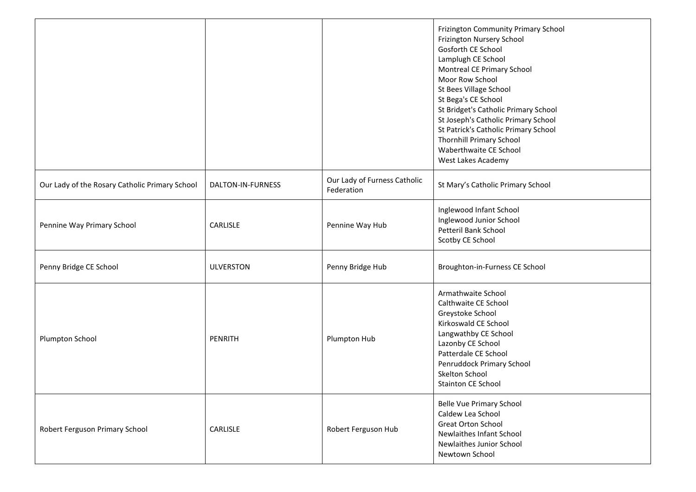|                                                |                   |                                            | Frizington Community Primary School<br>Frizington Nursery School<br>Gosforth CE School<br>Lamplugh CE School<br>Montreal CE Primary School<br>Moor Row School<br>St Bees Village School<br>St Bega's CE School<br>St Bridget's Catholic Primary School<br>St Joseph's Catholic Primary School<br>St Patrick's Catholic Primary School<br><b>Thornhill Primary School</b><br>Waberthwaite CE School<br>West Lakes Academy |
|------------------------------------------------|-------------------|--------------------------------------------|--------------------------------------------------------------------------------------------------------------------------------------------------------------------------------------------------------------------------------------------------------------------------------------------------------------------------------------------------------------------------------------------------------------------------|
| Our Lady of the Rosary Catholic Primary School | DALTON-IN-FURNESS | Our Lady of Furness Catholic<br>Federation | St Mary's Catholic Primary School                                                                                                                                                                                                                                                                                                                                                                                        |
| Pennine Way Primary School                     | CARLISLE          | Pennine Way Hub                            | Inglewood Infant School<br>Inglewood Junior School<br><b>Petteril Bank School</b><br>Scotby CE School                                                                                                                                                                                                                                                                                                                    |
| Penny Bridge CE School                         | <b>ULVERSTON</b>  | Penny Bridge Hub                           | Broughton-in-Furness CE School                                                                                                                                                                                                                                                                                                                                                                                           |
| Plumpton School                                | <b>PENRITH</b>    | Plumpton Hub                               | Armathwaite School<br>Calthwaite CE School<br>Greystoke School<br>Kirkoswald CE School<br>Langwathby CE School<br>Lazonby CE School<br>Patterdale CE School<br>Penruddock Primary School<br>Skelton School<br><b>Stainton CE School</b>                                                                                                                                                                                  |
| Robert Ferguson Primary School                 | CARLISLE          | Robert Ferguson Hub                        | Belle Vue Primary School<br>Caldew Lea School<br><b>Great Orton School</b><br><b>Newlaithes Infant School</b><br>Newlaithes Junior School<br>Newtown School                                                                                                                                                                                                                                                              |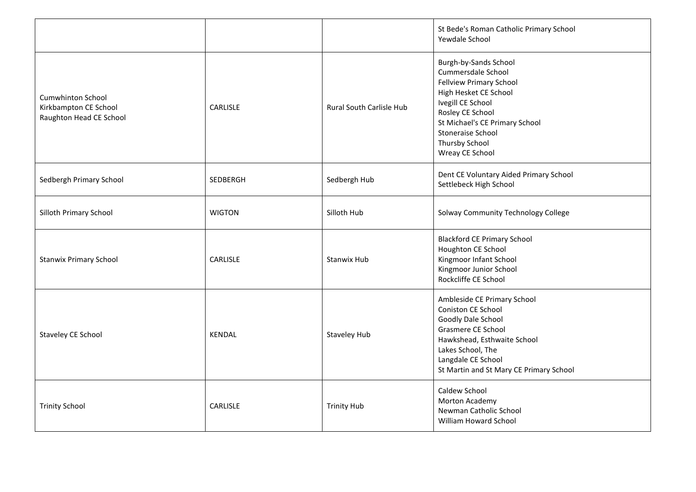|                                                                              |                 |                                 | St Bede's Roman Catholic Primary School<br>Yewdale School                                                                                                                                                                                                 |
|------------------------------------------------------------------------------|-----------------|---------------------------------|-----------------------------------------------------------------------------------------------------------------------------------------------------------------------------------------------------------------------------------------------------------|
| <b>Cumwhinton School</b><br>Kirkbampton CE School<br>Raughton Head CE School | <b>CARLISLE</b> | <b>Rural South Carlisle Hub</b> | Burgh-by-Sands School<br>Cummersdale School<br><b>Fellview Primary School</b><br>High Hesket CE School<br>Ivegill CE School<br>Rosley CE School<br>St Michael's CE Primary School<br><b>Stoneraise School</b><br><b>Thursby School</b><br>Wreay CE School |
| Sedbergh Primary School                                                      | <b>SEDBERGH</b> | Sedbergh Hub                    | Dent CE Voluntary Aided Primary School<br>Settlebeck High School                                                                                                                                                                                          |
| Silloth Primary School                                                       | <b>WIGTON</b>   | Silloth Hub                     | Solway Community Technology College                                                                                                                                                                                                                       |
| <b>Stanwix Primary School</b>                                                | <b>CARLISLE</b> | <b>Stanwix Hub</b>              | <b>Blackford CE Primary School</b><br>Houghton CE School<br>Kingmoor Infant School<br>Kingmoor Junior School<br>Rockcliffe CE School                                                                                                                      |
| Staveley CE School                                                           | KENDAL          | <b>Staveley Hub</b>             | Ambleside CE Primary School<br>Coniston CE School<br>Goodly Dale School<br>Grasmere CE School<br>Hawkshead, Esthwaite School<br>Lakes School, The<br>Langdale CE School<br>St Martin and St Mary CE Primary School                                        |
| <b>Trinity School</b>                                                        | CARLISLE        | <b>Trinity Hub</b>              | Caldew School<br>Morton Academy<br>Newman Catholic School<br>William Howard School                                                                                                                                                                        |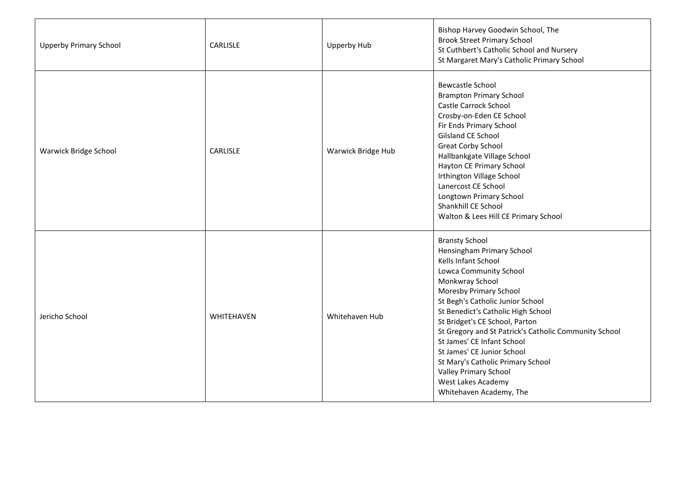| <b>Upperby Primary School</b> | CARLISLE   | Upperby Hub        | Bishop Harvey Goodwin School, The<br><b>Brook Street Primary School</b><br>St Cuthbert's Catholic School and Nursery<br>St Margaret Mary's Catholic Primary School                                                                                                                                                                                                                                                                                                                                      |
|-------------------------------|------------|--------------------|---------------------------------------------------------------------------------------------------------------------------------------------------------------------------------------------------------------------------------------------------------------------------------------------------------------------------------------------------------------------------------------------------------------------------------------------------------------------------------------------------------|
| Warwick Bridge School         | CARLISLE   | Warwick Bridge Hub | <b>Bewcastle School</b><br><b>Brampton Primary School</b><br>Castle Carrock School<br>Crosby-on-Eden CE School<br>Fir Ends Primary School<br>Gilsland CE School<br><b>Great Corby School</b><br>Hallbankgate Village School<br>Hayton CE Primary School<br>Irthington Village School<br>Lanercost CE School<br>Longtown Primary School<br>Shankhill CE School<br>Walton & Lees Hill CE Primary School                                                                                                   |
| Jericho School                | WHITEHAVEN | Whitehaven Hub     | <b>Bransty School</b><br>Hensingham Primary School<br>Kells Infant School<br>Lowca Community School<br>Monkwray School<br>Moresby Primary School<br>St Begh's Catholic Junior School<br>St Benedict's Catholic High School<br>St Bridget's CE School, Parton<br>St Gregory and St Patrick's Catholic Community School<br>St James' CE Infant School<br>St James' CE Junior School<br>St Mary's Catholic Primary School<br><b>Valley Primary School</b><br>West Lakes Academy<br>Whitehaven Academy, The |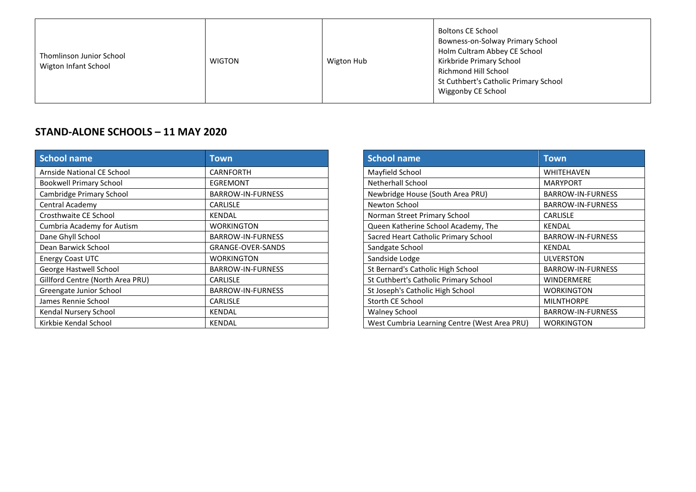| Thomlinson Junior School<br>Wigton Infant School | <b>WIGTON</b> | Wigton Hub | <b>Boltons CE School</b><br>Bowness-on-Solway Primary School<br>Holm Cultram Abbey CE School<br>Kirkbride Primary School<br>Richmond Hill School<br>St Cuthbert's Catholic Primary School<br>Wiggonby CE School |
|--------------------------------------------------|---------------|------------|-----------------------------------------------------------------------------------------------------------------------------------------------------------------------------------------------------------------|
|--------------------------------------------------|---------------|------------|-----------------------------------------------------------------------------------------------------------------------------------------------------------------------------------------------------------------|

## **STAND-ALONE SCHOOLS – 11 MAY 2020**

| School name                      | Town                     | <b>School name</b>                           | <b>Town</b>              |
|----------------------------------|--------------------------|----------------------------------------------|--------------------------|
| Arnside National CE School       | <b>CARNFORTH</b>         | Mayfield School                              | <b>WHITEHAVEN</b>        |
| <b>Bookwell Primary School</b>   | <b>EGREMONT</b>          | <b>Netherhall School</b>                     | <b>MARYPORT</b>          |
| Cambridge Primary School         | BARROW-IN-FURNESS        | Newbridge House (South Area PRU)             | <b>BARROW-IN-FURNESS</b> |
| Central Academy                  | <b>CARLISLE</b>          | Newton School                                | <b>BARROW-IN-FURNESS</b> |
| Crosthwaite CE School            | <b>KENDAL</b>            | Norman Street Primary School                 | <b>CARLISLE</b>          |
| Cumbria Academy for Autism       | <b>WORKINGTON</b>        | Queen Katherine School Academy, The          | <b>KENDAL</b>            |
| Dane Ghyll School                | <b>BARROW-IN-FURNESS</b> | Sacred Heart Catholic Primary School         | <b>BARROW-IN-FURNESS</b> |
| Dean Barwick School              | <b>GRANGE-OVER-SANDS</b> | Sandgate School                              | <b>KENDAL</b>            |
| Energy Coast UTC                 | <b>WORKINGTON</b>        | Sandside Lodge                               | <b>ULVERSTON</b>         |
| George Hastwell School           | <b>BARROW-IN-FURNESS</b> | St Bernard's Catholic High School            | <b>BARROW-IN-FURNESS</b> |
| Gillford Centre (North Area PRU) | <b>CARLISLE</b>          | St Cuthbert's Catholic Primary School        | <b>WINDERMERE</b>        |
| Greengate Junior School          | <b>BARROW-IN-FURNESS</b> | St Joseph's Catholic High School             | <b>WORKINGTON</b>        |
| James Rennie School              | <b>CARLISLE</b>          | Storth CE School                             | <b>MILNTHORPE</b>        |
| Kendal Nursery School            | <b>KENDAL</b>            | <b>Walney School</b>                         | <b>BARROW-IN-FURNESS</b> |
| Kirkbie Kendal School            | <b>KENDAL</b>            | West Cumbria Learning Centre (West Area PRU) | <b>WORKINGTON</b>        |

| <b>School name</b>                           | Town                     |
|----------------------------------------------|--------------------------|
| Mayfield School                              | WHITEHAVEN               |
| Netherhall School                            | <b>MARYPORT</b>          |
| Newbridge House (South Area PRU)             | <b>BARROW-IN-FURNESS</b> |
| Newton School                                | <b>BARROW-IN-FURNESS</b> |
| Norman Street Primary School                 | <b>CARLISLE</b>          |
| Queen Katherine School Academy, The          | <b>KENDAL</b>            |
| Sacred Heart Catholic Primary School         | <b>BARROW-IN-FURNESS</b> |
| Sandgate School                              | <b>KENDAL</b>            |
| Sandside Lodge                               | ULVERSTON                |
| St Bernard's Catholic High School            | <b>BARROW-IN-FURNESS</b> |
| St Cuthbert's Catholic Primary School        | <b>WINDERMERE</b>        |
| St Joseph's Catholic High School             | <b>WORKINGTON</b>        |
| Storth CE School                             | <b>MILNTHORPE</b>        |
| <b>Walney School</b>                         | <b>BARROW-IN-FURNESS</b> |
| West Cumbria Learning Centre (West Area PRU) | <b>WORKINGTON</b>        |